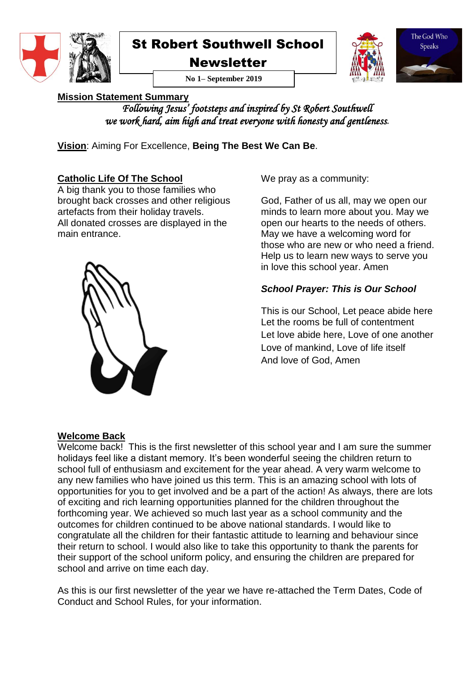

# St Robert Southwell School

**Newsletter** 







**Mission Statement Summary**

*Following Jesus' footsteps and inspired by St Robert Southwell we work hard, aim high and treat everyone with honesty and gentleness.*

**Vision**: Aiming For Excellence, **Being The Best We Can Be**.

**Catholic Life Of The School**

A big thank you to those families who brought back crosses and other religious artefacts from their holiday travels. All donated crosses are displayed in the main entrance.

We pray as a community:

God, Father of us all, may we open our minds to learn more about you. May we open our hearts to the needs of others. May we have a welcoming word for those who are new or who need a friend. Help us to learn new ways to serve you in love this school year. Amen

# *School Prayer: This is Our School*

This is our School, Let peace abide here Let the rooms be full of contentment Let love abide here, Love of one another Love of mankind, Love of life itself And love of God, Amen



#### **Welcome Back**

Welcome back! This is the first newsletter of this school year and I am sure the summer holidays feel like a distant memory. It's been wonderful seeing the children return to school full of enthusiasm and excitement for the year ahead. A very warm welcome to any new families who have joined us this term. This is an amazing school with lots of opportunities for you to get involved and be a part of the action! As always, there are lots of exciting and rich learning opportunities planned for the children throughout the forthcoming year. We achieved so much last year as a school community and the outcomes for children continued to be above national standards. I would like to congratulate all the children for their fantastic attitude to learning and behaviour since their return to school. I would also like to take this opportunity to thank the parents for their support of the school uniform policy, and ensuring the children are prepared for school and arrive on time each day.

As this is our first newsletter of the year we have re-attached the Term Dates, Code of Conduct and School Rules, for your information.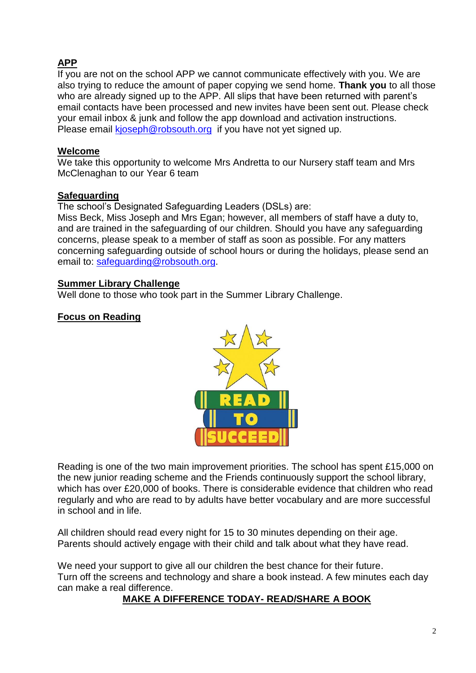# **APP**

If you are not on the school APP we cannot communicate effectively with you. We are also trying to reduce the amount of paper copying we send home. **Thank you** to all those who are already signed up to the APP. All slips that have been returned with parent's email contacts have been processed and new invites have been sent out. Please check your email inbox & junk and follow the app download and activation instructions. Please email [kjoseph@robsouth.org](mailto:kjoseph@robsouth.org) if you have not yet signed up.

#### **Welcome**

We take this opportunity to welcome Mrs Andretta to our Nursery staff team and Mrs McClenaghan to our Year 6 team

#### **Safeguarding**

The school's Designated Safeguarding Leaders (DSLs) are:

Miss Beck, Miss Joseph and Mrs Egan; however, all members of staff have a duty to, and are trained in the safeguarding of our children. Should you have any safeguarding concerns, please speak to a member of staff as soon as possible. For any matters concerning safeguarding outside of school hours or during the holidays, please send an email to: [safeguarding@robsouth.org.](mailto:safeguarding@robsouth.org)

#### **Summer Library Challenge**

Well done to those who took part in the Summer Library Challenge.

#### **Focus on Reading**



Reading is one of the two main improvement priorities. The school has spent £15,000 on the new junior reading scheme and the Friends continuously support the school library, which has over £20,000 of books. There is considerable evidence that children who read regularly and who are read to by adults have better vocabulary and are more successful in school and in life.

All children should read every night for 15 to 30 minutes depending on their age. Parents should actively engage with their child and talk about what they have read.

We need your support to give all our children the best chance for their future. Turn off the screens and technology and share a book instead. A few minutes each day can make a real difference.

#### **MAKE A DIFFERENCE TODAY- READ/SHARE A BOOK**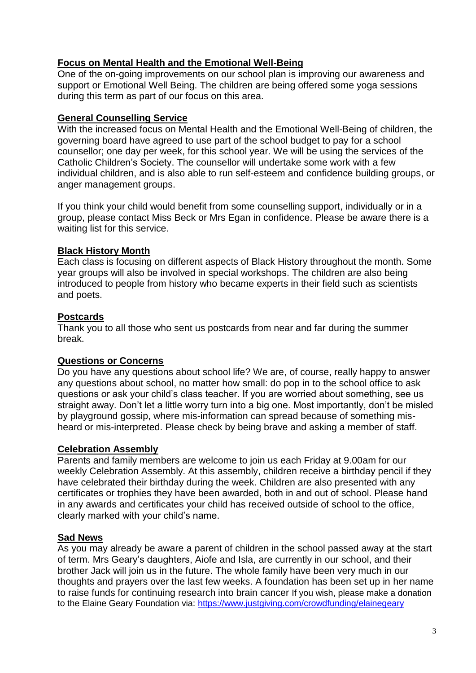#### **Focus on Mental Health and the Emotional Well-Being**

One of the on-going improvements on our school plan is improving our awareness and support or Emotional Well Being. The children are being offered some yoga sessions during this term as part of our focus on this area.

#### **General Counselling Service**

With the increased focus on Mental Health and the Emotional Well-Being of children, the governing board have agreed to use part of the school budget to pay for a school counsellor; one day per week, for this school year. We will be using the services of the Catholic Children's Society. The counsellor will undertake some work with a few individual children, and is also able to run self-esteem and confidence building groups, or anger management groups.

If you think your child would benefit from some counselling support, individually or in a group, please contact Miss Beck or Mrs Egan in confidence. Please be aware there is a waiting list for this service.

### **Black History Month**

Each class is focusing on different aspects of Black History throughout the month. Some year groups will also be involved in special workshops. The children are also being introduced to people from history who became experts in their field such as scientists and poets.

### **Postcards**

Thank you to all those who sent us postcards from near and far during the summer break.

## **Questions or Concerns**

Do you have any questions about school life? We are, of course, really happy to answer any questions about school, no matter how small: do pop in to the school office to ask questions or ask your child's class teacher. If you are worried about something, see us straight away. Don't let a little worry turn into a big one. Most importantly, don't be misled by playground gossip, where mis-information can spread because of something misheard or mis-interpreted. Please check by being brave and asking a member of staff.

#### **Celebration Assembly**

Parents and family members are welcome to join us each Friday at 9.00am for our weekly Celebration Assembly. At this assembly, children receive a birthday pencil if they have celebrated their birthday during the week. Children are also presented with any certificates or trophies they have been awarded, both in and out of school. Please hand in any awards and certificates your child has received outside of school to the office, clearly marked with your child's name.

#### **Sad News**

As you may already be aware a parent of children in the school passed away at the start of term. Mrs Geary's daughters, Aiofe and Isla, are currently in our school, and their brother Jack will join us in the future. The whole family have been very much in our thoughts and prayers over the last few weeks. A foundation has been set up in her name to raise funds for continuing research into brain cancer If you wish, please make a donation to the Elaine Geary Foundation via:<https://www.justgiving.com/crowdfunding/elainegeary>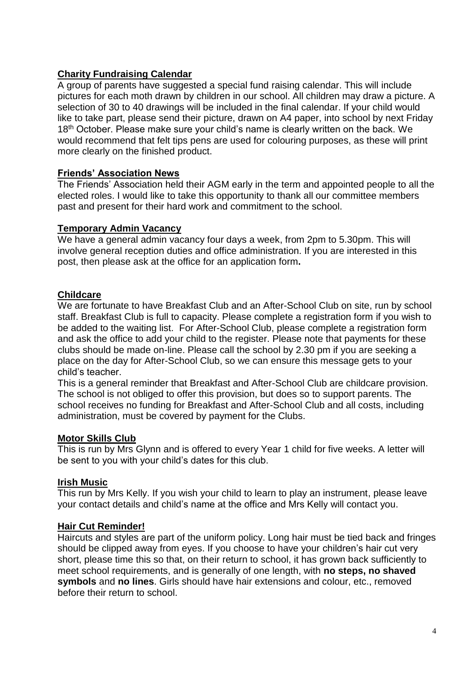#### **Charity Fundraising Calendar**

A group of parents have suggested a special fund raising calendar. This will include pictures for each moth drawn by children in our school. All children may draw a picture. A selection of 30 to 40 drawings will be included in the final calendar. If your child would like to take part, please send their picture, drawn on A4 paper, into school by next Friday 18<sup>th</sup> October. Please make sure your child's name is clearly written on the back. We would recommend that felt tips pens are used for colouring purposes, as these will print more clearly on the finished product.

#### **Friends' Association News**

The Friends' Association held their AGM early in the term and appointed people to all the elected roles. I would like to take this opportunity to thank all our committee members past and present for their hard work and commitment to the school.

#### **Temporary Admin Vacancy**

We have a general admin vacancy four days a week, from 2pm to 5.30pm. This will involve general reception duties and office administration. If you are interested in this post, then please ask at the office for an application form**.**

#### **Childcare**

We are fortunate to have Breakfast Club and an After-School Club on site, run by school staff. Breakfast Club is full to capacity. Please complete a registration form if you wish to be added to the waiting list. For After-School Club, please complete a registration form and ask the office to add your child to the register. Please note that payments for these clubs should be made on-line. Please call the school by 2.30 pm if you are seeking a place on the day for After-School Club, so we can ensure this message gets to your child's teacher.

This is a general reminder that Breakfast and After-School Club are childcare provision. The school is not obliged to offer this provision, but does so to support parents. The school receives no funding for Breakfast and After-School Club and all costs, including administration, must be covered by payment for the Clubs.

#### **Motor Skills Club**

This is run by Mrs Glynn and is offered to every Year 1 child for five weeks. A letter will be sent to you with your child's dates for this club.

#### **Irish Music**

This run by Mrs Kelly. If you wish your child to learn to play an instrument, please leave your contact details and child's name at the office and Mrs Kelly will contact you.

#### **Hair Cut Reminder!**

Haircuts and styles are part of the uniform policy. Long hair must be tied back and fringes should be clipped away from eyes. If you choose to have your children's hair cut very short, please time this so that, on their return to school, it has grown back sufficiently to meet school requirements, and is generally of one length, with **no steps, no shaved symbols** and **no lines**. Girls should have hair extensions and colour, etc., removed before their return to school.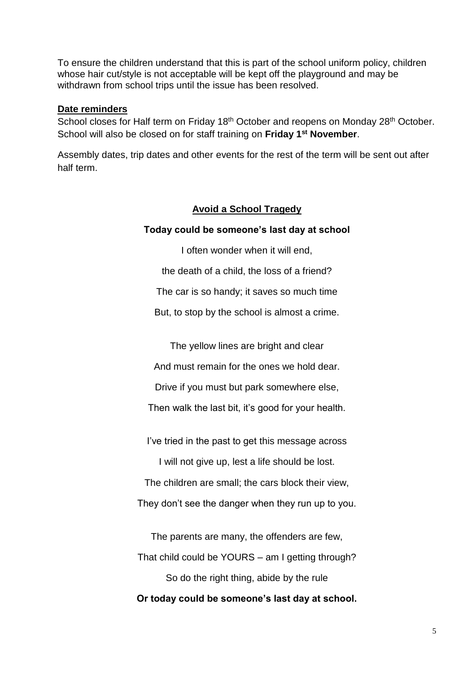To ensure the children understand that this is part of the school uniform policy, children whose hair cut/style is not acceptable will be kept off the playground and may be withdrawn from school trips until the issue has been resolved.

#### **Date reminders**

School closes for Half term on Friday 18<sup>th</sup> October and reopens on Monday 28<sup>th</sup> October. School will also be closed on for staff training on **Friday 1st November**.

Assembly dates, trip dates and other events for the rest of the term will be sent out after half term.

#### **Avoid a School Tragedy**

#### **Today could be someone's last day at school**

I often wonder when it will end.

the death of a child, the loss of a friend?

The car is so handy; it saves so much time

But, to stop by the school is almost a crime.

The yellow lines are bright and clear

And must remain for the ones we hold dear.

Drive if you must but park somewhere else,

Then walk the last bit, it's good for your health.

I've tried in the past to get this message across

I will not give up, lest a life should be lost.

The children are small; the cars block their view, They don't see the danger when they run up to you.

The parents are many, the offenders are few, That child could be YOURS – am I getting through? So do the right thing, abide by the rule **Or today could be someone's last day at school.**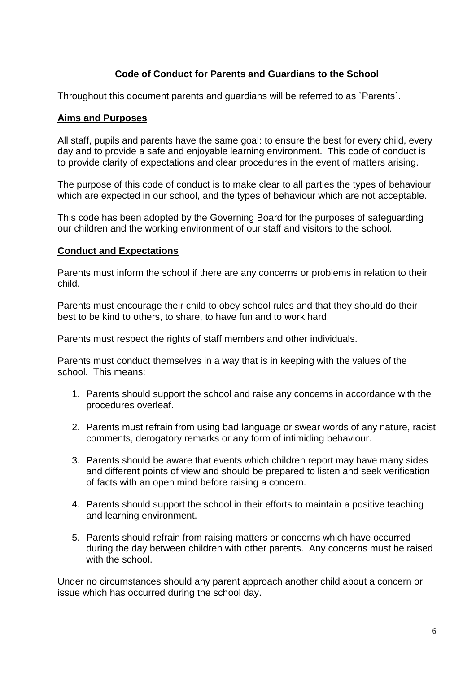#### **Code of Conduct for Parents and Guardians to the School**

Throughout this document parents and guardians will be referred to as `Parents`.

#### **Aims and Purposes**

All staff, pupils and parents have the same goal: to ensure the best for every child, every day and to provide a safe and enjoyable learning environment. This code of conduct is to provide clarity of expectations and clear procedures in the event of matters arising.

The purpose of this code of conduct is to make clear to all parties the types of behaviour which are expected in our school, and the types of behaviour which are not acceptable.

This code has been adopted by the Governing Board for the purposes of safeguarding our children and the working environment of our staff and visitors to the school.

#### **Conduct and Expectations**

Parents must inform the school if there are any concerns or problems in relation to their child.

Parents must encourage their child to obey school rules and that they should do their best to be kind to others, to share, to have fun and to work hard.

Parents must respect the rights of staff members and other individuals.

Parents must conduct themselves in a way that is in keeping with the values of the school. This means:

- 1. Parents should support the school and raise any concerns in accordance with the procedures overleaf.
- 2. Parents must refrain from using bad language or swear words of any nature, racist comments, derogatory remarks or any form of intimiding behaviour.
- 3. Parents should be aware that events which children report may have many sides and different points of view and should be prepared to listen and seek verification of facts with an open mind before raising a concern.
- 4. Parents should support the school in their efforts to maintain a positive teaching and learning environment.
- 5. Parents should refrain from raising matters or concerns which have occurred during the day between children with other parents. Any concerns must be raised with the school.

Under no circumstances should any parent approach another child about a concern or issue which has occurred during the school day.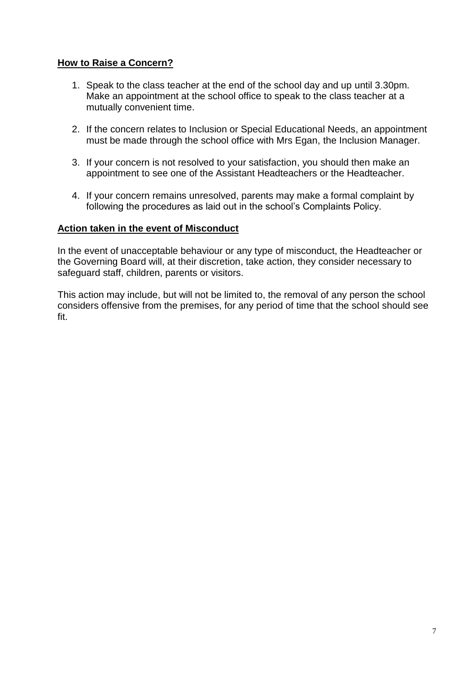#### **How to Raise a Concern?**

- 1. Speak to the class teacher at the end of the school day and up until 3.30pm. Make an appointment at the school office to speak to the class teacher at a mutually convenient time.
- 2. If the concern relates to Inclusion or Special Educational Needs, an appointment must be made through the school office with Mrs Egan, the Inclusion Manager.
- 3. If your concern is not resolved to your satisfaction, you should then make an appointment to see one of the Assistant Headteachers or the Headteacher.
- 4. If your concern remains unresolved, parents may make a formal complaint by following the procedures as laid out in the school's Complaints Policy.

#### **Action taken in the event of Misconduct**

In the event of unacceptable behaviour or any type of misconduct, the Headteacher or the Governing Board will, at their discretion, take action, they consider necessary to safeguard staff, children, parents or visitors.

This action may include, but will not be limited to, the removal of any person the school considers offensive from the premises, for any period of time that the school should see fit.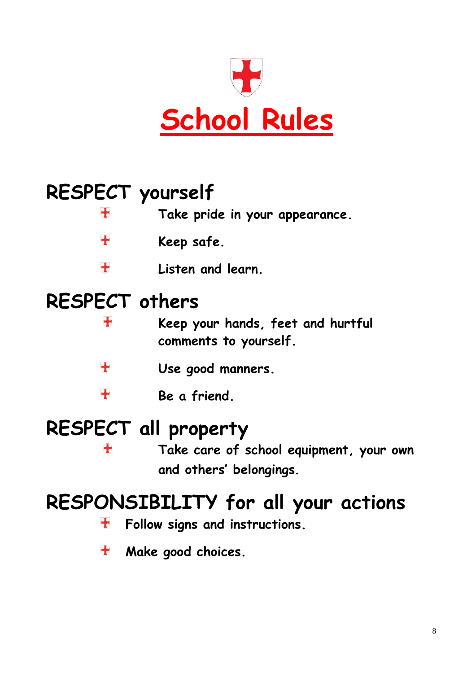

# **RESPECT yourself**

|                             |                       | Take pride in your appearance.                                     |  |
|-----------------------------|-----------------------|--------------------------------------------------------------------|--|
|                             | $\bigstar$            | Keep safe.                                                         |  |
|                             | $\div$                | Listen and learn.                                                  |  |
|                             | <b>RESPECT others</b> |                                                                    |  |
|                             |                       | Keep your hands, feet and hurtful<br>comments to yourself.         |  |
|                             | $\bigstar$            | Use good manners.                                                  |  |
|                             | $\div$                | Be a friend.                                                       |  |
| <b>RESPECT all property</b> |                       |                                                                    |  |
|                             |                       | Take care of school equipment, your own<br>and others' belongings. |  |
|                             |                       |                                                                    |  |

# **RESPONSIBILITY for all your actions**

- **Follow signs and instructions.**  $\ddagger$
- **Make good choices.**  $\ddagger$